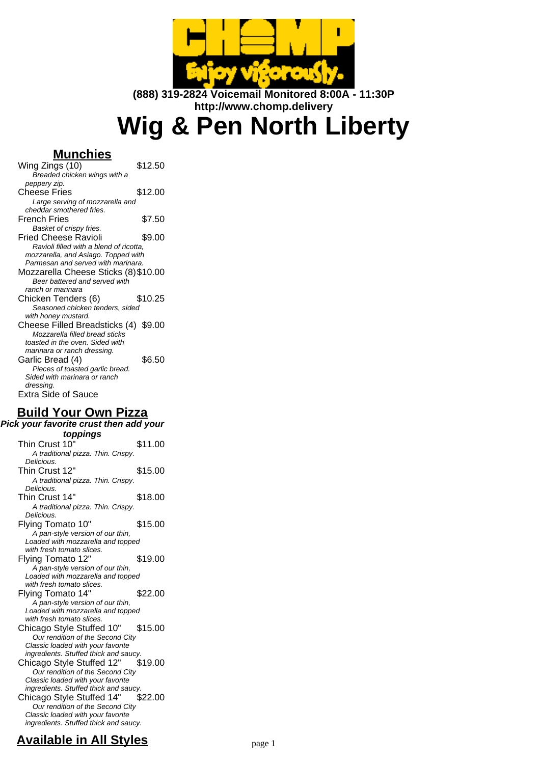

**(888) 319-2824 Voicemail Monitored 8:00A - 11:30P http://www.chomp.delivery**

**Wig & Pen North Liberty**

# **Munchies**

| Wing Zings (10)                         | \$12.50 |  |
|-----------------------------------------|---------|--|
| Breaded chicken wings with a            |         |  |
| peppery zip.                            |         |  |
| Cheese Fries                            | \$12.00 |  |
| Large serving of mozzarella and         |         |  |
| cheddar smothered fries.                |         |  |
| French Fries                            | \$7.50  |  |
| Basket of crispy fries.                 |         |  |
| Fried Cheese Ravioli                    | \$9.00  |  |
| Ravioli filled with a blend of ricotta, |         |  |
| mozzarella, and Asiago. Topped with     |         |  |
| Parmesan and served with marinara.      |         |  |
| Mozzarella Cheese Sticks (8) \$10.00    |         |  |
| Beer battered and served with           |         |  |
| ranch or marinara                       |         |  |
| Chicken Tenders (6)                     | \$10.25 |  |
| Seasoned chicken tenders, sided         |         |  |
| with honey mustard.                     |         |  |
| Cheese Filled Breadsticks (4) \$9.00    |         |  |
| Mozzarella filled bread sticks          |         |  |
| toasted in the oven. Sided with         |         |  |
| marinara or ranch dressing.             |         |  |
| Garlic Bread (4)                        | \$6.50  |  |
| Pieces of toasted garlic bread.         |         |  |
| Sided with marinara or ranch            |         |  |
| dressing.                               |         |  |
| Extra Side of Sauce                     |         |  |

## **Build Your Own Pizza**

**Pick your favorite crust then add your toppings** Thin Crust 10" \$11.00 A traditional pizza. Thin. Crispy. Delicious. Thin Crust 12" \$15.00 A traditional pizza. Thin. Crispy. Delicious. Thin Crust 14" \$18.00 A traditional pizza. Thin. Crispy. Delicious. Flying Tomato 10" \$15.00 A pan-style version of our thin, Loaded with mozzarella and topped with fresh tomato slices. Flying Tomato 12" \$19.00 A pan-style version of our thin, Loaded with mozzarella and topped with fresh tomato slices. Flying Tomato 14" \$22.00 A pan-style version of our thin, Loaded with mozzarella and topped with fresh tomato slices. Chicago Style Stuffed 10" \$15.00 Our rendition of the Second City Classic loaded with your favorite ingredients. Stuffed thick and saucy. Chicago Style Stuffed 12" \$19.00 Our rendition of the Second City Classic loaded with your favorite ingredients. Stuffed thick and saucy. Chicago Style Stuffed 14" \$22.00 Our rendition of the Second City Classic loaded with your favorite ingredients. Stuffed thick and saucy.

# **Available in All Styles** page 1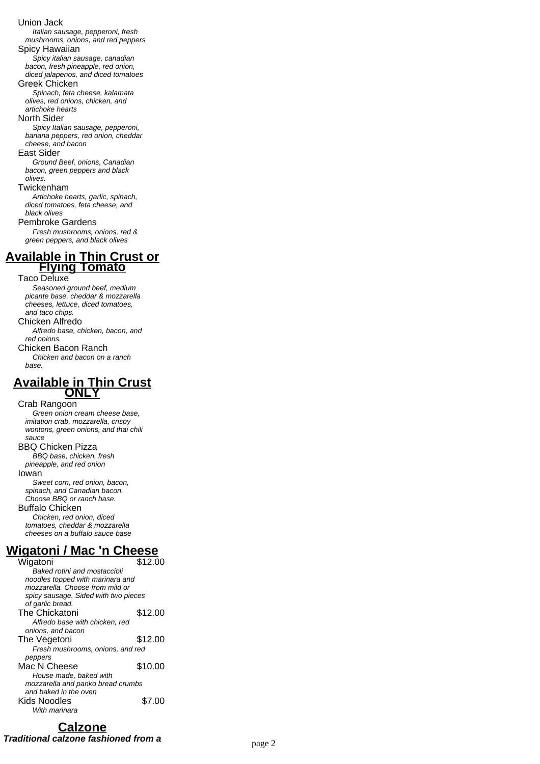#### Union Jack

Italian sausage, pepperoni, fresh mushrooms, onions, and red peppers

#### Spicy Hawaiian

Spicy italian sausage, canadian bacon, fresh pineapple, red onion, diced jalapenos, and diced tomatoes

### Greek Chicken

Spinach, feta cheese, kalamata olives, red onions, chicken, and artichoke hearts

#### North Sider

Spicy Italian sausage, pepperoni, banana peppers, red onion, cheddar cheese, and bacon

### East Sider

Ground Beef, onions, Canadian bacon, green peppers and black olives.

#### Twickenham

Artichoke hearts, garlic, spinach, diced tomatoes, feta cheese, and black olives

Pembroke Gardens

Fresh mushrooms, onions, red & green peppers, and black olives

### **Available in Thin Crust or Flying Tomato**

### Taco Deluxe

Seasoned ground beef, medium picante base, cheddar & mozzarella cheeses, lettuce, diced tomatoes, and taco chips. Chicken Alfredo

Alfredo base, chicken, bacon, and red onions.

Chicken Bacon Ranch Chicken and bacon on a ranch

base.

### **Available in Thin Crust ONLY**

### Crab Rangoon

Green onion cream cheese base, imitation crab, mozzarella, crispy wontons, green onions, and thai chili sauce BBQ Chicken Pizza

BBQ base, chicken, fresh pineapple, and red onion

### Iowan

Sweet corn, red onion, bacon, spinach, and Canadian bacon. Choose BBQ or ranch base. Buffalo Chicken Chicken, red onion, diced

tomatoes, cheddar & mozzarella cheeses on a buffalo sauce base

# **Wigatoni / Mac 'n Cheese**

Wigatoni \$12.00 Baked rotini and mostaccioli noodles topped with marinara and mozzarella. Choose from mild or spicy sausage. Sided with two pieces of garlic bread. The Chickatoni \$12.00 Alfredo base with chicken, red onions, and bacon The Vegetoni \$12.00 Fresh mushrooms, onions, and red peppers Mac N Cheese \$10.00 House made, baked with mozzarella and panko bread crumbs and baked in the oven Kids Noodles \$7.00 With marinara

## **Calzone**

**Traditional calzone fashioned from a** page 2